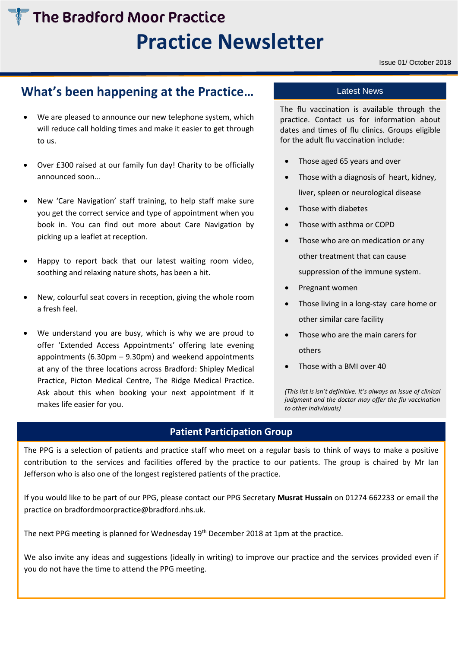# **The Bradford Moor Practice Practice Newsletter**

# **What's been happening at the Practice…**

- We are pleased to announce our new telephone system, which will reduce call holding times and make it easier to get through to us.
- Over £300 raised at our family fun day! Charity to be officially announced soon…
- New 'Care Navigation' staff training, to help staff make sure you get the correct service and type of appointment when you book in. You can find out more about Care Navigation by picking up a leaflet at reception.
- Happy to report back that our latest waiting room video, soothing and relaxing nature shots, has been a hit.
- New, colourful seat covers in reception, giving the whole room a fresh feel.
- We understand you are busy, which is why we are proud to offer 'Extended Access Appointments' offering late evening appointments (6.30pm – 9.30pm) and weekend appointments at any of the three locations across Bradford: Shipley Medical Practice, Picton Medical Centre, The Ridge Medical Practice. Ask about this when booking your next appointment if it makes life easier for you.

## Latest News

The flu vaccination is available through the practice. Contact us for information about dates and times of flu clinics. Groups eligible for the adult flu vaccination include:

- Those aged 65 years and over
- Those with a diagnosis of heart, kidney, liver, spleen or neurological disease
- Those with diabetes
- Those with asthma or COPD
- Those who are on medication or any other treatment that can cause suppression of the immune system.
- Pregnant women
- Those living in a long-stay care home or other similar care facility
- Those who are the main carers for others
- Those with a BMI over 40

*(This list is isn't definitive. It's always an issue of clinical judgment and the doctor may offer the flu vaccination to other individuals)*

# **Patient Participation Group**

The PPG is a selection of patients and practice staff who meet on a regular basis to think of ways to make a positive contribution to the services and facilities offered by the practice to our patients. The group is chaired by Mr Ian Jefferson who is also one of the longest registered patients of the practice.

If you would like to be part of our PPG, please contact our PPG Secretary **Musrat Hussain** on 01274 662233 or email the practice o[n bradfordmoorpractice@bradford.nhs.uk.](mailto:bradfordmoorpractice@bradford.nhs.uk)

The next PPG meeting is planned for Wednesday 19<sup>th</sup> December 2018 at 1pm at the practice.

We also invite any ideas and suggestions (ideally in writing) to improve our practice and the services provided even if you do not have the time to attend the PPG meeting.